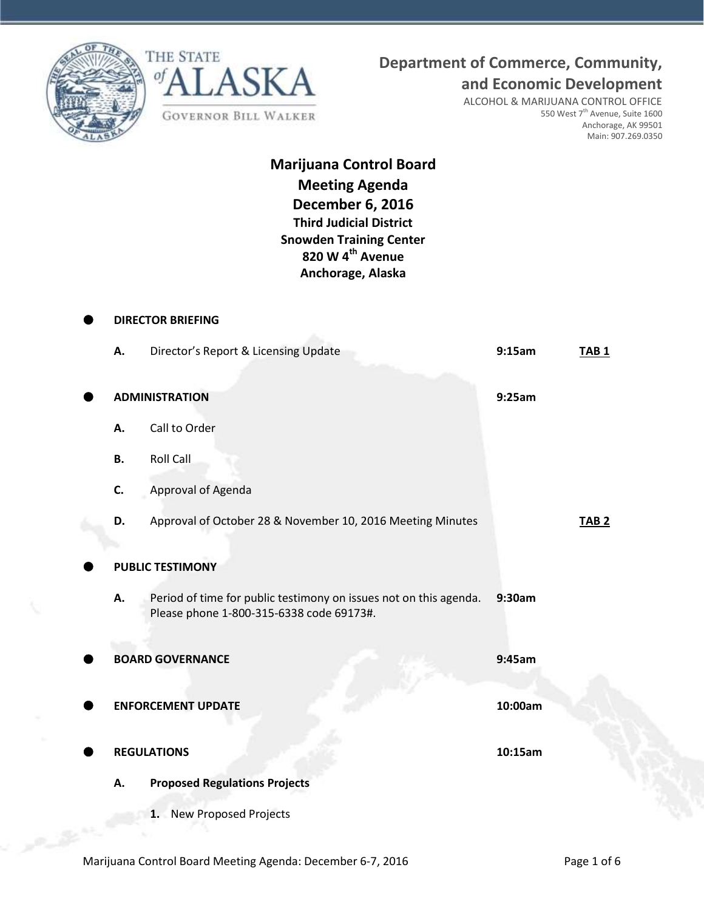



**and Economic Development**

ALCOHOL & MARIJUANA CONTROL OFFICE 550 West 7<sup>th</sup> Avenue, Suite 1600 Anchorage, AK 99501 Main: 907.269.0350

# **Marijuana Control Board Meeting Agenda December 6, 2016 Third Judicial District Snowden Training Center 820 W 4th Avenue Anchorage, Alaska**

|           | <b>DIRECTOR BRIEFING</b>                                                                                      |         |              |
|-----------|---------------------------------------------------------------------------------------------------------------|---------|--------------|
| А.        | Director's Report & Licensing Update                                                                          | 9:15am  | <b>TAB1</b>  |
|           | <b>ADMINISTRATION</b>                                                                                         | 9:25am  |              |
| Α.        | Call to Order                                                                                                 |         |              |
| <b>B.</b> | <b>Roll Call</b>                                                                                              |         |              |
| C.        | Approval of Agenda                                                                                            |         |              |
| D.        | Approval of October 28 & November 10, 2016 Meeting Minutes                                                    |         | <b>TAB 2</b> |
|           | <b>PUBLIC TESTIMONY</b>                                                                                       |         |              |
| А.        | Period of time for public testimony on issues not on this agenda.<br>Please phone 1-800-315-6338 code 69173#. | 9:30am  |              |
|           | <b>BOARD GOVERNANCE</b>                                                                                       | 9:45am  |              |
|           | <b>ENFORCEMENT UPDATE</b>                                                                                     | 10:00am |              |
|           | <b>REGULATIONS</b>                                                                                            | 10:15am |              |
| А.        | <b>Proposed Regulations Projects</b>                                                                          |         |              |
|           | 1. New Proposed Projects                                                                                      |         |              |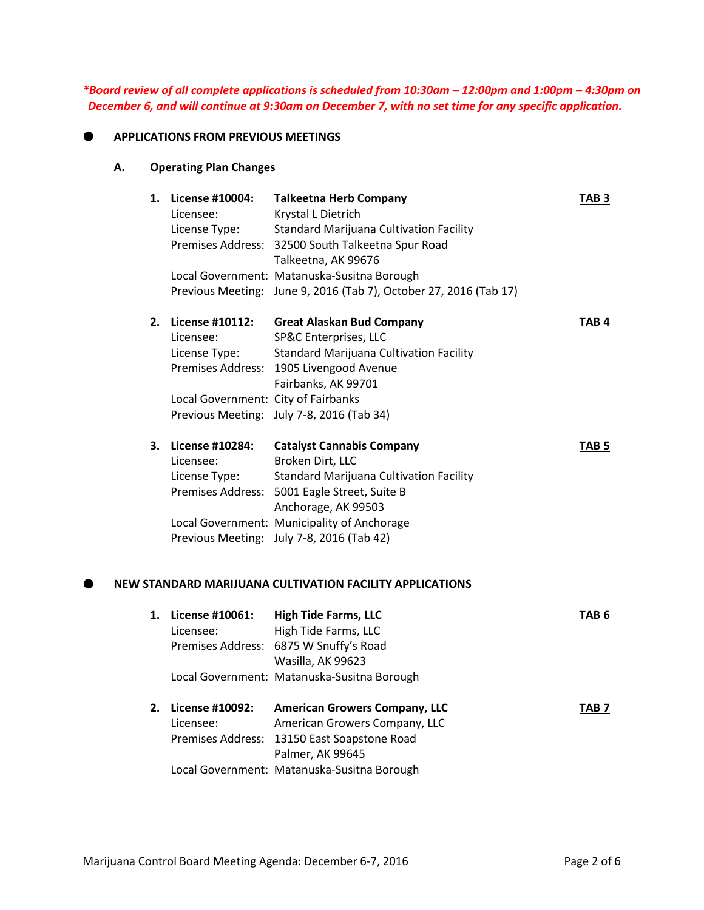*\*Board review of all complete applications is scheduled from 10:30am – 12:00pm and 1:00pm – 4:30pm on December 6, and will continue at 9:30am on December 7, with no set time for any specific application.*

### **APPLICATIONS FROM PREVIOUS MEETINGS**

## **A. Operating Plan Changes**

| 1. | License #10004:                     | <b>Talkeetna Herb Company</b>                                     | TAB <sub>3</sub> |
|----|-------------------------------------|-------------------------------------------------------------------|------------------|
|    | Licensee:                           | Krystal L Dietrich                                                |                  |
|    | License Type:                       | <b>Standard Marijuana Cultivation Facility</b>                    |                  |
|    |                                     | Premises Address: 32500 South Talkeetna Spur Road                 |                  |
|    |                                     | Talkeetna, AK 99676                                               |                  |
|    |                                     | Local Government: Matanuska-Susitna Borough                       |                  |
|    |                                     | Previous Meeting: June 9, 2016 (Tab 7), October 27, 2016 (Tab 17) |                  |
| 2. | License #10112:                     | <b>Great Alaskan Bud Company</b>                                  | TAB <sub>4</sub> |
|    | Licensee:                           | SP&C Enterprises, LLC                                             |                  |
|    | License Type:                       | <b>Standard Marijuana Cultivation Facility</b>                    |                  |
|    |                                     | Premises Address: 1905 Livengood Avenue                           |                  |
|    |                                     | Fairbanks, AK 99701                                               |                  |
|    | Local Government: City of Fairbanks |                                                                   |                  |
|    |                                     | Previous Meeting: July 7-8, 2016 (Tab 34)                         |                  |
| З. | License #10284:                     | <b>Catalyst Cannabis Company</b>                                  | TAB <sub>5</sub> |
|    | Licensee:                           | Broken Dirt, LLC                                                  |                  |
|    | License Type:                       | <b>Standard Marijuana Cultivation Facility</b>                    |                  |
|    |                                     | Premises Address: 5001 Eagle Street, Suite B                      |                  |
|    |                                     | Anchorage, AK 99503                                               |                  |
|    |                                     | Local Government: Municipality of Anchorage                       |                  |
|    |                                     | Previous Meeting: July 7-8, 2016 (Tab 42)                         |                  |
|    |                                     | NEW STANDARD MARIJUANA CULTIVATION FACILITY APPLICATIONS          |                  |
|    | 1. License #10061:                  | <b>High Tide Farms, LLC</b>                                       | TAB <sub>6</sub> |
|    | Licensee:                           | High Tide Farms, LLC                                              |                  |
|    |                                     | Premises Address: 6875 W Snuffy's Road                            |                  |
|    |                                     | Wasilla, AK 99623                                                 |                  |
|    |                                     | Local Government: Matanuska-Susitna Borough                       |                  |
| 2. | License #10092:                     | <b>American Growers Company, LLC</b>                              | TAB <sub>7</sub> |
|    | Licensee:                           | American Growers Company, LLC                                     |                  |
|    |                                     | Premises Address: 13150 East Soapstone Road                       |                  |

Palmer, AK 99645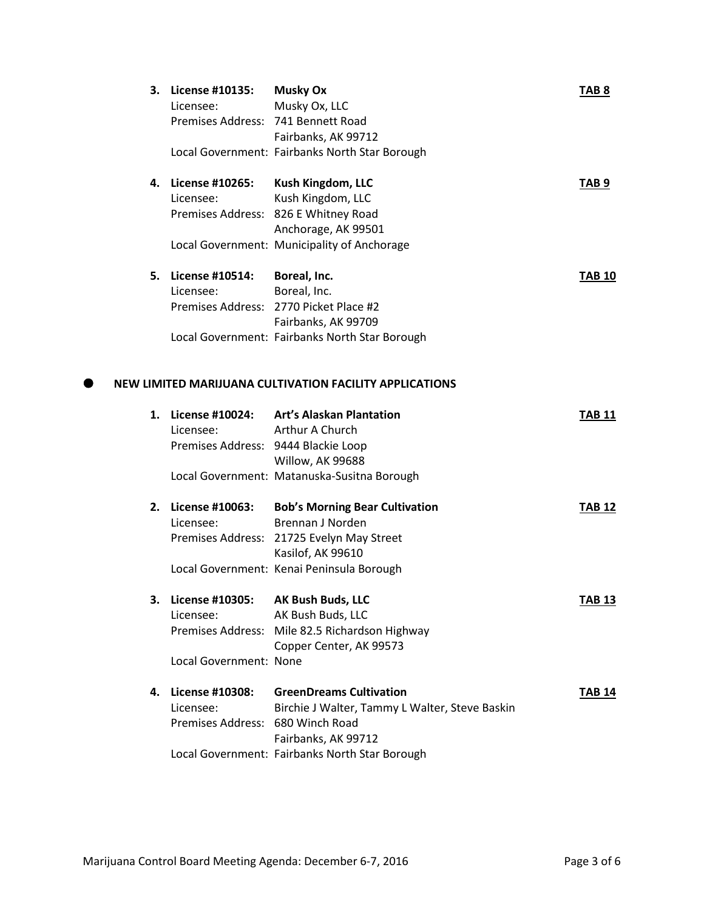| 3. | License #10135:<br>Licensee:<br>Premises Address: 741 Bennett Road | <b>Musky Ox</b><br>Musky Ox, LLC                        | TAB <sub>8</sub> |
|----|--------------------------------------------------------------------|---------------------------------------------------------|------------------|
|    |                                                                    | Fairbanks, AK 99712                                     |                  |
|    |                                                                    | Local Government: Fairbanks North Star Borough          |                  |
| 4. | License #10265:                                                    | Kush Kingdom, LLC                                       | TAB <sub>9</sub> |
|    | Licensee:                                                          | Kush Kingdom, LLC                                       |                  |
|    |                                                                    | Premises Address: 826 E Whitney Road                    |                  |
|    |                                                                    | Anchorage, AK 99501                                     |                  |
|    |                                                                    | Local Government: Municipality of Anchorage             |                  |
| 5. | <b>License #10514:</b>                                             | Boreal, Inc.                                            | <b>TAB 10</b>    |
|    | Licensee:                                                          | Boreal, Inc.                                            |                  |
|    |                                                                    | Premises Address: 2770 Picket Place #2                  |                  |
|    |                                                                    | Fairbanks, AK 99709                                     |                  |
|    |                                                                    | Local Government: Fairbanks North Star Borough          |                  |
|    |                                                                    | NEW LIMITED MARIJUANA CULTIVATION FACILITY APPLICATIONS |                  |
|    |                                                                    |                                                         |                  |
| 1. |                                                                    | License #10024: Art's Alaskan Plantation                | <b>TAB 11</b>    |
|    | Licensee:                                                          | Arthur A Church                                         |                  |
|    | Premises Address: 9444 Blackie Loop                                |                                                         |                  |
|    |                                                                    | Willow, AK 99688                                        |                  |
|    |                                                                    | Local Government: Matanuska-Susitna Borough             |                  |
| 2. | License #10063:                                                    | <b>Bob's Morning Bear Cultivation</b>                   | <b>TAB 12</b>    |
|    | Licensee:                                                          | Brennan J Norden                                        |                  |
|    |                                                                    | Premises Address: 21725 Evelyn May Street               |                  |
|    |                                                                    | Kasilof, AK 99610                                       |                  |
|    |                                                                    | Local Government: Kenai Peninsula Borough               |                  |
| 3. | License #10305: AK Bush Buds, LLC                                  |                                                         | <b>TAB 13</b>    |
|    | Licensee:                                                          | AK Bush Buds, LLC                                       |                  |
|    |                                                                    | Premises Address: Mile 82.5 Richardson Highway          |                  |
|    |                                                                    | Copper Center, AK 99573                                 |                  |
|    | Local Government: None                                             |                                                         |                  |
|    | 4. License #10308:                                                 | <b>GreenDreams Cultivation</b>                          | TAB 14           |
|    | Licensee:                                                          | Birchie J Walter, Tammy L Walter, Steve Baskin          |                  |
|    | Premises Address: 680 Winch Road                                   |                                                         |                  |
|    |                                                                    | Fairbanks, AK 99712                                     |                  |
|    |                                                                    | Local Government: Fairbanks North Star Borough          |                  |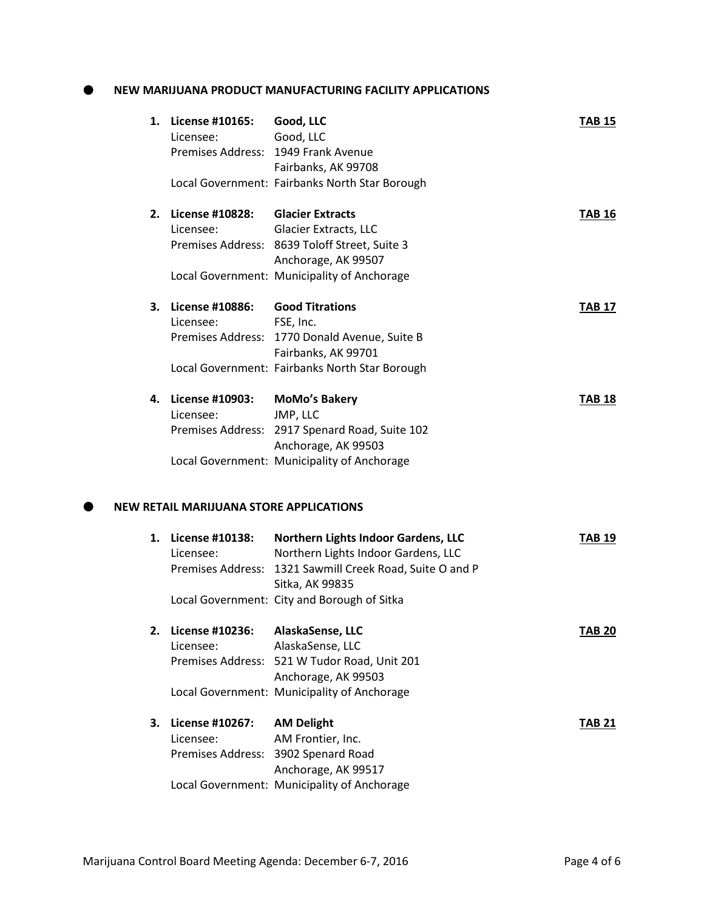## **NEW MARIJUANA PRODUCT MANUFACTURING FACILITY APPLICATIONS**

|    | 1. License #10165:                      | Good, LLC                                                                                       | <b>TAB 15</b> |
|----|-----------------------------------------|-------------------------------------------------------------------------------------------------|---------------|
|    | Licensee:                               | Good, LLC                                                                                       |               |
|    |                                         | Premises Address: 1949 Frank Avenue                                                             |               |
|    |                                         | Fairbanks, AK 99708                                                                             |               |
|    |                                         | Local Government: Fairbanks North Star Borough                                                  |               |
| 2. | <b>License #10828:</b>                  | <b>Glacier Extracts</b>                                                                         | <b>TAB 16</b> |
|    | Licensee:                               | Glacier Extracts, LLC                                                                           |               |
|    |                                         | Premises Address: 8639 Toloff Street, Suite 3                                                   |               |
|    |                                         | Anchorage, AK 99507                                                                             |               |
|    |                                         | Local Government: Municipality of Anchorage                                                     |               |
| З. | <b>License #10886:</b>                  | <b>Good Titrations</b>                                                                          | <b>TAB 17</b> |
|    | Licensee:                               | FSE, Inc.                                                                                       |               |
|    |                                         | Premises Address: 1770 Donald Avenue, Suite B                                                   |               |
|    |                                         | Fairbanks, AK 99701                                                                             |               |
|    |                                         | Local Government: Fairbanks North Star Borough                                                  |               |
| 4. | License #10903:                         | <b>MoMo's Bakery</b>                                                                            | <b>TAB 18</b> |
|    | Licensee:                               | JMP, LLC                                                                                        |               |
|    |                                         | Premises Address: 2917 Spenard Road, Suite 102                                                  |               |
|    |                                         | Anchorage, AK 99503                                                                             |               |
|    |                                         | Local Government: Municipality of Anchorage                                                     |               |
|    | NEW RETAIL MARIJUANA STORE APPLICATIONS |                                                                                                 |               |
|    |                                         |                                                                                                 |               |
|    | 1. License #10138:                      | Northern Lights Indoor Gardens, LLC                                                             | <b>TAB 19</b> |
|    | Licensee:                               | Northern Lights Indoor Gardens, LLC<br>Premises Address: 1321 Sawmill Creek Road, Suite O and P |               |
|    |                                         | Sitka, AK 99835                                                                                 |               |
|    |                                         | Local Government: City and Borough of Sitka                                                     |               |
|    |                                         |                                                                                                 |               |
| 2. | <b>License #10236:</b>                  | AlaskaSense, LLC                                                                                | <b>TAB 20</b> |
|    | Licensee:                               | AlaskaSense, LLC                                                                                |               |
|    |                                         | Premises Address: 521 W Tudor Road, Unit 201                                                    |               |
|    |                                         | Anchorage, AK 99503                                                                             |               |
|    |                                         | Local Government: Municipality of Anchorage                                                     |               |
| 3. | License #10267:                         | <b>AM Delight</b>                                                                               | <b>TAB 21</b> |
|    | Licensee:                               | AM Frontier, Inc.                                                                               |               |
|    |                                         | Premises Address: 3902 Spenard Road                                                             |               |
|    |                                         | Anchorage, AK 99517                                                                             |               |
|    |                                         | Local Government: Municipality of Anchorage                                                     |               |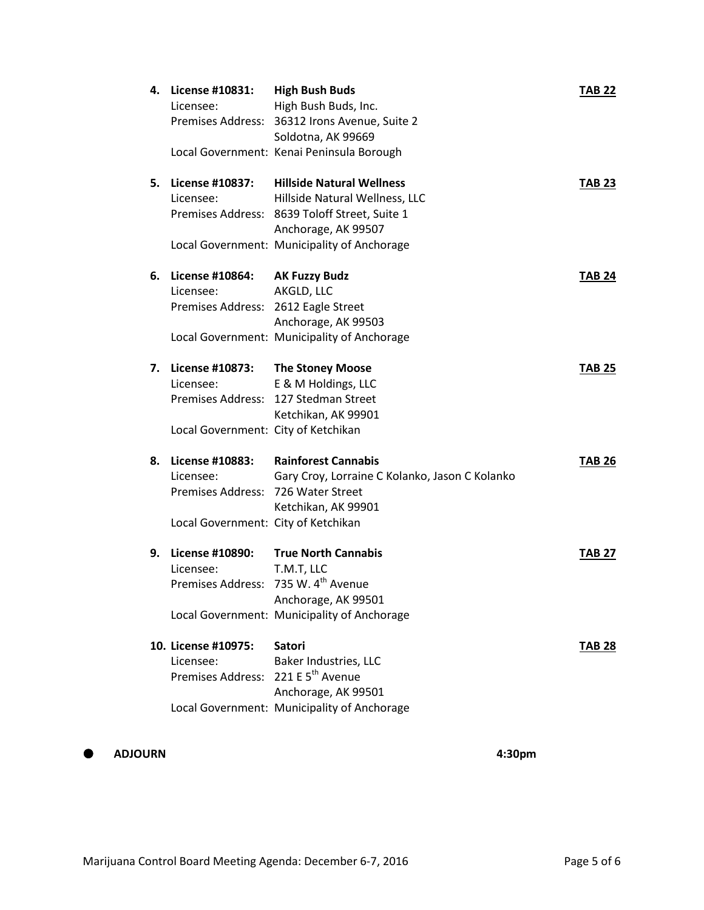| 4. | License #10831:<br>Licensee:                                                                                     | <b>High Bush Buds</b><br>High Bush Buds, Inc.<br>Premises Address: 36312 Irons Avenue, Suite 2<br>Soldotna, AK 99669<br>Local Government: Kenai Peninsula Borough                         | <b>TAB 22</b> |
|----|------------------------------------------------------------------------------------------------------------------|-------------------------------------------------------------------------------------------------------------------------------------------------------------------------------------------|---------------|
| 5. | License #10837:<br>Licensee:                                                                                     | <b>Hillside Natural Wellness</b><br>Hillside Natural Wellness, LLC<br>Premises Address: 8639 Toloff Street, Suite 1<br>Anchorage, AK 99507<br>Local Government: Municipality of Anchorage | <b>TAB 23</b> |
| 6. | License #10864:<br>Licensee:<br>Premises Address: 2612 Eagle Street                                              | <b>AK Fuzzy Budz</b><br>AKGLD, LLC<br>Anchorage, AK 99503<br>Local Government: Municipality of Anchorage                                                                                  | <b>TAB 24</b> |
| 7. | License #10873:<br>Licensee:<br>Local Government: City of Ketchikan                                              | <b>The Stoney Moose</b><br>E & M Holdings, LLC<br>Premises Address: 127 Stedman Street<br>Ketchikan, AK 99901                                                                             | <b>TAB 25</b> |
| 8. | <b>License #10883:</b><br>Licensee:<br>Premises Address: 726 Water Street<br>Local Government: City of Ketchikan | <b>Rainforest Cannabis</b><br>Gary Croy, Lorraine C Kolanko, Jason C Kolanko<br>Ketchikan, AK 99901                                                                                       | <b>TAB 26</b> |
| 9. | <b>License #10890:</b><br>Licensee:<br>Premises Address: 735 W. 4 <sup>th</sup> Avenue                           | <b>True North Cannabis</b><br>T.M.T, LLC<br>Anchorage, AK 99501<br>Local Government: Municipality of Anchorage                                                                            | <b>TAB 27</b> |
|    | 10. License #10975:<br>Licensee:<br>Premises Address: 221 E 5 <sup>th</sup> Avenue                               | <b>Satori</b><br>Baker Industries, LLC<br>Anchorage, AK 99501<br>Local Government: Municipality of Anchorage                                                                              | <b>TAB 28</b> |

# **ADJOURN 4:30pm**